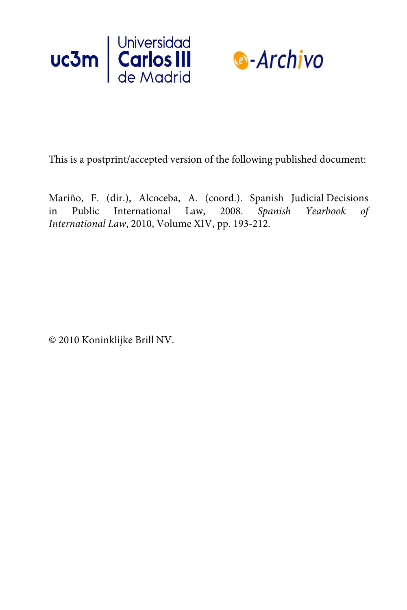



This is a postprint/accepted version of the following published document:

Mariño, F. (dir.), Alcoceba, A. (coord.). Spanish Judicial Decisions<br>in Public International Law, 2008. Spanish Yearbook of in Public International Law, 2008. *Spanish Yearbook of International Law*, 2010, Volume XIV, pp. 193-212.

© 2010 Koninklijke Brill NV.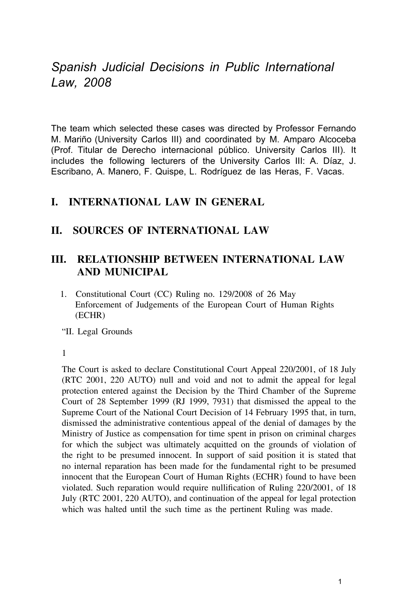# *Spanish Judicial Decisions in Public International Law, 2008*

The team which selected these cases was directed by Professor Fernando M. Mariño (University Carlos III) and coordinated by M. Amparo Alcoceba (Prof. Titular de Derecho internacional público. University Carlos III). It includes the following lecturers of the University Carlos III: A. Díaz, J. Escribano, A. Manero, F. Quispe, L. Rodríguez de las Heras, F. Vacas.

### **I. INTERNATIONAL LAW IN GENERAL**

### **II. SOURCES OF INTERNATIONAL LAW**

## **III. RELATIONSHIP BETWEEN INTERNATIONAL LAW AND MUNICIPAL**

1. Constitutional Court (CC) Ruling no. 129/2008 of 26 May Enforcement of Judgements of the European Court of Human Rights (ECHR)

"II. Legal Grounds

1

The Court is asked to declare Constitutional Court Appeal 220/2001, of 18 July (RTC 2001, 220 AUTO) null and void and not to admit the appeal for legal protection entered against the Decision by the Third Chamber of the Supreme Court of 28 September 1999 (RJ 1999, 7931) that dismissed the appeal to the Supreme Court of the National Court Decision of 14 February 1995 that, in turn, dismissed the administrative contentious appeal of the denial of damages by the Ministry of Justice as compensation for time spent in prison on criminal charges for which the subject was ultimately acquitted on the grounds of violation of the right to be presumed innocent. In support of said position it is stated that no internal reparation has been made for the fundamental right to be presumed innocent that the European Court of Human Rights (ECHR) found to have been violated. Such reparation would require nullification of Ruling 220/2001, of 18 July (RTC 2001, 220 AUTO), and continuation of the appeal for legal protection which was halted until the such time as the pertinent Ruling was made.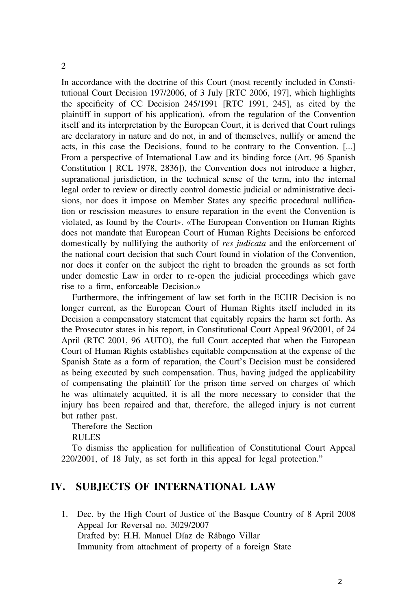#### 2

In accordance with the doctrine of this Court (most recently included in Constitutional Court Decision 197/2006, of 3 July [RTC 2006, 197], which highlights the specificity of CC Decision 245/1991 [RTC 1991, 245], as cited by the plaintiff in support of his application), «from the regulation of the Convention itself and its interpretation by the European Court, it is derived that Court rulings are declaratory in nature and do not, in and of themselves, nullify or amend the acts, in this case the Decisions, found to be contrary to the Convention. [...] From a perspective of International Law and its binding force (Art. 96 Spanish Constitution [ RCL 1978, 2836]), the Convention does not introduce a higher, supranational jurisdiction, in the technical sense of the term, into the internal legal order to review or directly control domestic judicial or administrative decisions, nor does it impose on Member States any specific procedural nullification or rescission measures to ensure reparation in the event the Convention is violated, as found by the Court». «The European Convention on Human Rights does not mandate that European Court of Human Rights Decisions be enforced domestically by nullifying the authority of *res judicata* and the enforcement of the national court decision that such Court found in violation of the Convention, nor does it confer on the subject the right to broaden the grounds as set forth under domestic Law in order to re-open the judicial proceedings which gave rise to a firm, enforceable Decision.»

Furthermore, the infringement of law set forth in the ECHR Decision is no longer current, as the European Court of Human Rights itself included in its Decision a compensatory statement that equitably repairs the harm set forth. As the Prosecutor states in his report, in Constitutional Court Appeal 96/2001, of 24 April (RTC 2001, 96 AUTO), the full Court accepted that when the European Court of Human Rights establishes equitable compensation at the expense of the Spanish State as a form of reparation, the Court's Decision must be considered as being executed by such compensation. Thus, having judged the applicability of compensating the plaintiff for the prison time served on charges of which he was ultimately acquitted, it is all the more necessary to consider that the injury has been repaired and that, therefore, the alleged injury is not current but rather past.

Therefore the Section

RULES

To dismiss the application for nullification of Constitutional Court Appeal 220/2001, of 18 July, as set forth in this appeal for legal protection."

### **IV. SUBJECTS OF INTERNATIONAL LAW**

1. Dec. by the High Court of Justice of the Basque Country of 8 April 2008 Appeal for Reversal no. 3029/2007 Drafted by: H.H. Manuel Díaz de Rábago Villar Immunity from attachment of property of a foreign State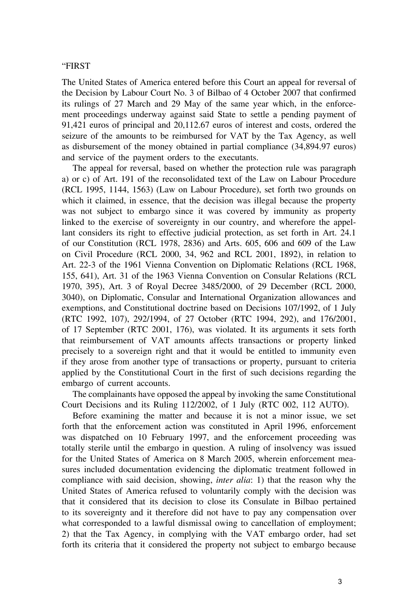#### "FIRST

The United States of America entered before this Court an appeal for reversal of the Decision by Labour Court No. 3 of Bilbao of 4 October 2007 that confirmed its rulings of 27 March and 29 May of the same year which, in the enforcement proceedings underway against said State to settle a pending payment of 91,421 euros of principal and 20,112.67 euros of interest and costs, ordered the seizure of the amounts to be reimbursed for VAT by the Tax Agency, as well as disbursement of the money obtained in partial compliance (34,894.97 euros) and service of the payment orders to the executants.

The appeal for reversal, based on whether the protection rule was paragraph a) or c) of Art. 191 of the reconsolidated text of the Law on Labour Procedure (RCL 1995, 1144, 1563) (Law on Labour Procedure), set forth two grounds on which it claimed, in essence, that the decision was illegal because the property was not subject to embargo since it was covered by immunity as property linked to the exercise of sovereignty in our country, and wherefore the appellant considers its right to effective judicial protection, as set forth in Art. 24.1 of our Constitution (RCL 1978, 2836) and Arts. 605, 606 and 609 of the Law on Civil Procedure (RCL 2000, 34, 962 and RCL 2001, 1892), in relation to Art. 22-3 of the 1961 Vienna Convention on Diplomatic Relations (RCL 1968, 155, 641), Art. 31 of the 1963 Vienna Convention on Consular Relations (RCL 1970, 395), Art. 3 of Royal Decree 3485/2000, of 29 December (RCL 2000, 3040), on Diplomatic, Consular and International Organization allowances and exemptions, and Constitutional doctrine based on Decisions 107/1992, of 1 July (RTC 1992, 107), 292/1994, of 27 October (RTC 1994, 292), and 176/2001, of 17 September (RTC 2001, 176), was violated. It its arguments it sets forth that reimbursement of VAT amounts affects transactions or property linked precisely to a sovereign right and that it would be entitled to immunity even if they arose from another type of transactions or property, pursuant to criteria applied by the Constitutional Court in the first of such decisions regarding the embargo of current accounts.

The complainants have opposed the appeal by invoking the same Constitutional Court Decisions and its Ruling 112/2002, of 1 July (RTC 002, 112 AUTO).

Before examining the matter and because it is not a minor issue, we set forth that the enforcement action was constituted in April 1996, enforcement was dispatched on 10 February 1997, and the enforcement proceeding was totally sterile until the embargo in question. A ruling of insolvency was issued for the United States of America on 8 March 2005, wherein enforcement measures included documentation evidencing the diplomatic treatment followed in compliance with said decision, showing, *inter alia*: 1) that the reason why the United States of America refused to voluntarily comply with the decision was that it considered that its decision to close its Consulate in Bilbao pertained to its sovereignty and it therefore did not have to pay any compensation over what corresponded to a lawful dismissal owing to cancellation of employment; 2) that the Tax Agency, in complying with the VAT embargo order, had set forth its criteria that it considered the property not subject to embargo because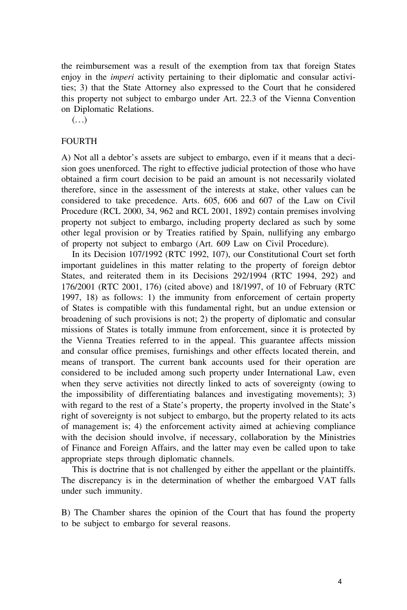the reimbursement was a result of the exemption from tax that foreign States enjoy in the *imperi* activity pertaining to their diplomatic and consular activities; 3) that the State Attorney also expressed to the Court that he considered this property not subject to embargo under Art. 22.3 of the Vienna Convention on Diplomatic Relations.

 $\left( \ldots \right)$ 

#### **FOURTH**

A) Not all a debtor's assets are subject to embargo, even if it means that a decision goes unenforced. The right to effective judicial protection of those who have obtained a firm court decision to be paid an amount is not necessarily violated therefore, since in the assessment of the interests at stake, other values can be considered to take precedence. Arts. 605, 606 and 607 of the Law on Civil Procedure (RCL 2000, 34, 962 and RCL 2001, 1892) contain premises involving property not subject to embargo, including property declared as such by some other legal provision or by Treaties ratified by Spain, nullifying any embargo of property not subject to embargo (Art. 609 Law on Civil Procedure).

In its Decision 107/1992 (RTC 1992, 107), our Constitutional Court set forth important guidelines in this matter relating to the property of foreign debtor States, and reiterated them in its Decisions 292/1994 (RTC 1994, 292) and 176/2001 (RTC 2001, 176) (cited above) and 18/1997, of 10 of February (RTC 1997, 18) as follows: 1) the immunity from enforcement of certain property of States is compatible with this fundamental right, but an undue extension or broadening of such provisions is not; 2) the property of diplomatic and consular missions of States is totally immune from enforcement, since it is protected by the Vienna Treaties referred to in the appeal. This guarantee affects mission and consular office premises, furnishings and other effects located therein, and means of transport. The current bank accounts used for their operation are considered to be included among such property under International Law, even when they serve activities not directly linked to acts of sovereignty (owing to the impossibility of differentiating balances and investigating movements); 3) with regard to the rest of a State's property, the property involved in the State's right of sovereignty is not subject to embargo, but the property related to its acts of management is; 4) the enforcement activity aimed at achieving compliance with the decision should involve, if necessary, collaboration by the Ministries of Finance and Foreign Affairs, and the latter may even be called upon to take appropriate steps through diplomatic channels.

This is doctrine that is not challenged by either the appellant or the plaintiffs. The discrepancy is in the determination of whether the embargoed VAT falls under such immunity.

B) The Chamber shares the opinion of the Court that has found the property to be subject to embargo for several reasons.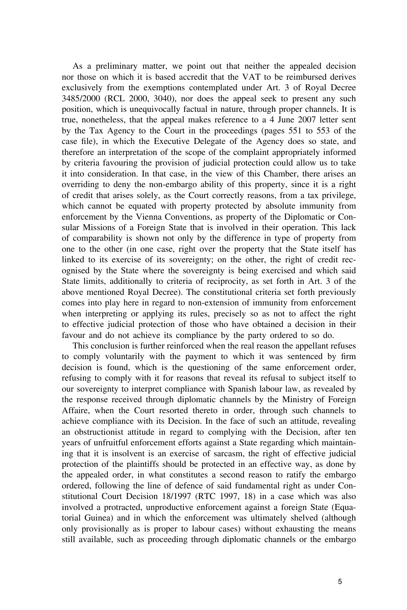As a preliminary matter, we point out that neither the appealed decision nor those on which it is based accredit that the VAT to be reimbursed derives exclusively from the exemptions contemplated under Art. 3 of Royal Decree 3485/2000 (RCL 2000, 3040), nor does the appeal seek to present any such position, which is unequivocally factual in nature, through proper channels. It is true, nonetheless, that the appeal makes reference to a 4 June 2007 letter sent by the Tax Agency to the Court in the proceedings (pages 551 to 553 of the case file), in which the Executive Delegate of the Agency does so state, and therefore an interpretation of the scope of the complaint appropriately informed by criteria favouring the provision of judicial protection could allow us to take it into consideration. In that case, in the view of this Chamber, there arises an overriding to deny the non-embargo ability of this property, since it is a right of credit that arises solely, as the Court correctly reasons, from a tax privilege, which cannot be equated with property protected by absolute immunity from enforcement by the Vienna Conventions, as property of the Diplomatic or Consular Missions of a Foreign State that is involved in their operation. This lack of comparability is shown not only by the difference in type of property from one to the other (in one case, right over the property that the State itself has linked to its exercise of its sovereignty; on the other, the right of credit recognised by the State where the sovereignty is being exercised and which said State limits, additionally to criteria of reciprocity, as set forth in Art. 3 of the above mentioned Royal Decree). The constitutional criteria set forth previously comes into play here in regard to non-extension of immunity from enforcement when interpreting or applying its rules, precisely so as not to affect the right to effective judicial protection of those who have obtained a decision in their favour and do not achieve its compliance by the party ordered to so do.

This conclusion is further reinforced when the real reason the appellant refuses to comply voluntarily with the payment to which it was sentenced by firm decision is found, which is the questioning of the same enforcement order, refusing to comply with it for reasons that reveal its refusal to subject itself to our sovereignty to interpret compliance with Spanish labour law, as revealed by the response received through diplomatic channels by the Ministry of Foreign Affaire, when the Court resorted thereto in order, through such channels to achieve compliance with its Decision. In the face of such an attitude, revealing an obstructionist attitude in regard to complying with the Decision, after ten years of unfruitful enforcement efforts against a State regarding which maintaining that it is insolvent is an exercise of sarcasm, the right of effective judicial protection of the plaintiffs should be protected in an effective way, as done by the appealed order, in what constitutes a second reason to ratify the embargo ordered, following the line of defence of said fundamental right as under Constitutional Court Decision 18/1997 (RTC 1997, 18) in a case which was also involved a protracted, unproductive enforcement against a foreign State (Equatorial Guinea) and in which the enforcement was ultimately shelved (although only provisionally as is proper to labour cases) without exhausting the means still available, such as proceeding through diplomatic channels or the embargo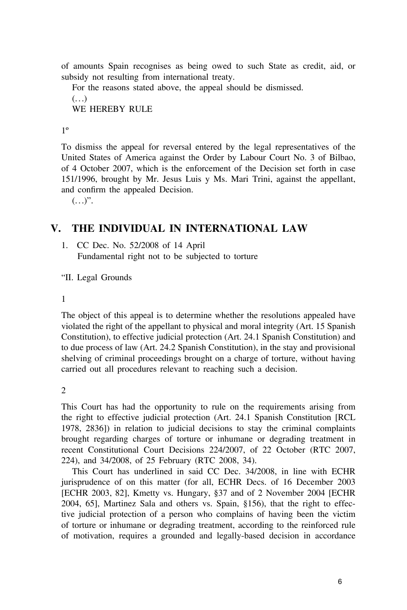of amounts Spain recognises as being owed to such State as credit, aid, or subsidy not resulting from international treaty.

For the reasons stated above, the appeal should be dismissed.

 $\left( \ldots \right)$ WE HEREBY RULE

1º

To dismiss the appeal for reversal entered by the legal representatives of the United States of America against the Order by Labour Court No. 3 of Bilbao, of 4 October 2007, which is the enforcement of the Decision set forth in case 151/1996, brought by Mr. Jesus Luis y Ms. Mari Trini, against the appellant, and confirm the appealed Decision.

 $(\ldots)$ ".

### **V. THE INDIVIDUAL IN INTERNATIONAL LAW**

1. CC Dec. No. 52/2008 of 14 April Fundamental right not to be subjected to torture

"II. Legal Grounds

1

The object of this appeal is to determine whether the resolutions appealed have violated the right of the appellant to physical and moral integrity (Art. 15 Spanish Constitution), to effective judicial protection (Art. 24.1 Spanish Constitution) and to due process of law (Art. 24.2 Spanish Constitution), in the stay and provisional shelving of criminal proceedings brought on a charge of torture, without having carried out all procedures relevant to reaching such a decision.

2

This Court has had the opportunity to rule on the requirements arising from the right to effective judicial protection (Art. 24.1 Spanish Constitution [RCL 1978, 2836]) in relation to judicial decisions to stay the criminal complaints brought regarding charges of torture or inhumane or degrading treatment in recent Constitutional Court Decisions 224/2007, of 22 October (RTC 2007, 224), and 34/2008, of 25 February (RTC 2008, 34).

This Court has underlined in said CC Dec. 34/2008, in line with ECHR jurisprudence of on this matter (for all, ECHR Decs. of 16 December 2003 [ECHR 2003, 82], Kmetty vs. Hungary, §37 and of 2 November 2004 [ECHR 2004, 65], Martinez Sala and others vs. Spain, §156), that the right to effective judicial protection of a person who complains of having been the victim of torture or inhumane or degrading treatment, according to the reinforced rule of motivation, requires a grounded and legally-based decision in accordance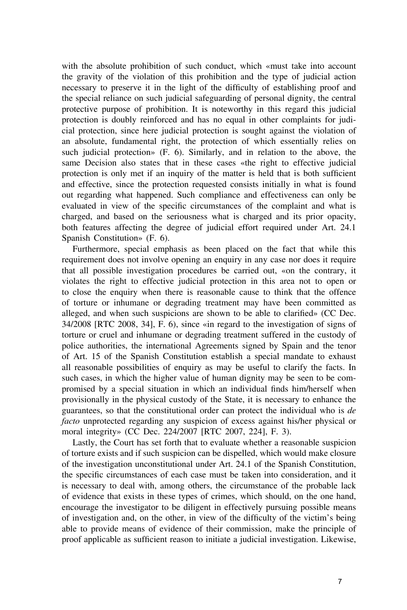with the absolute prohibition of such conduct, which «must take into account the gravity of the violation of this prohibition and the type of judicial action necessary to preserve it in the light of the difficulty of establishing proof and the special reliance on such judicial safeguarding of personal dignity, the central protective purpose of prohibition. It is noteworthy in this regard this judicial protection is doubly reinforced and has no equal in other complaints for judicial protection, since here judicial protection is sought against the violation of an absolute, fundamental right, the protection of which essentially relies on such judicial protection» (F. 6). Similarly, and in relation to the above, the same Decision also states that in these cases «the right to effective judicial protection is only met if an inquiry of the matter is held that is both sufficient and effective, since the protection requested consists initially in what is found out regarding what happened. Such compliance and effectiveness can only be evaluated in view of the specific circumstances of the complaint and what is charged, and based on the seriousness what is charged and its prior opacity, both features affecting the degree of judicial effort required under Art. 24.1 Spanish Constitution» (F. 6).

Furthermore, special emphasis as been placed on the fact that while this requirement does not involve opening an enquiry in any case nor does it require that all possible investigation procedures be carried out, «on the contrary, it violates the right to effective judicial protection in this area not to open or to close the enquiry when there is reasonable cause to think that the offence of torture or inhumane or degrading treatment may have been committed as alleged, and when such suspicions are shown to be able to clarified» (CC Dec. 34/2008 [RTC 2008, 34], F. 6), since «in regard to the investigation of signs of torture or cruel and inhumane or degrading treatment suffered in the custody of police authorities, the international Agreements signed by Spain and the tenor of Art. 15 of the Spanish Constitution establish a special mandate to exhaust all reasonable possibilities of enquiry as may be useful to clarify the facts. In such cases, in which the higher value of human dignity may be seen to be compromised by a special situation in which an individual finds him/herself when provisionally in the physical custody of the State, it is necessary to enhance the guarantees, so that the constitutional order can protect the individual who is *de facto* unprotected regarding any suspicion of excess against his/her physical or moral integrity» (CC Dec. 224/2007 [RTC 2007, 224], F. 3).

Lastly, the Court has set forth that to evaluate whether a reasonable suspicion of torture exists and if such suspicion can be dispelled, which would make closure of the investigation unconstitutional under Art. 24.1 of the Spanish Constitution, the specific circumstances of each case must be taken into consideration, and it is necessary to deal with, among others, the circumstance of the probable lack of evidence that exists in these types of crimes, which should, on the one hand, encourage the investigator to be diligent in effectively pursuing possible means of investigation and, on the other, in view of the difficulty of the victim's being able to provide means of evidence of their commission, make the principle of proof applicable as sufficient reason to initiate a judicial investigation. Likewise,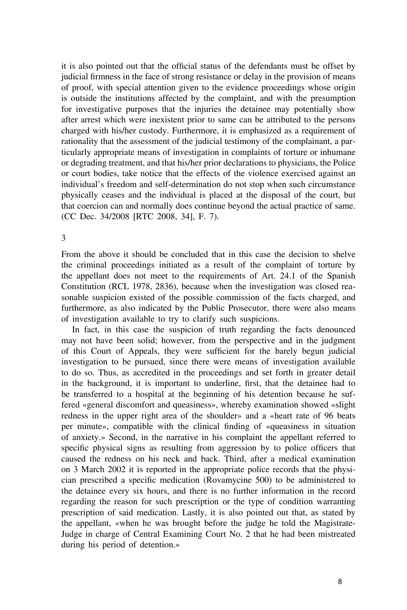it is also pointed out that the official status of the defendants must be offset by judicial firmness in the face of strong resistance or delay in the provision of means of proof, with special attention given to the evidence proceedings whose origin is outside the institutions affected by the complaint, and with the presumption for investigative purposes that the injuries the detainee may potentially show after arrest which were inexistent prior to same can be attributed to the persons charged with his/her custody. Furthermore, it is emphasized as a requirement of rationality that the assessment of the judicial testimony of the complainant, a particularly appropriate means of investigation in complaints of torture or inhumane or degrading treatment, and that his/her prior declarations to physicians, the Police or court bodies, take notice that the effects of the violence exercised against an individual's freedom and self-determination do not stop when such circumstance physically ceases and the individual is placed at the disposal of the court, but that coercion can and normally does continue beyond the actual practice of same. (CC Dec. 34/2008 [RTC 2008, 34], F. 7).

3

From the above it should be concluded that in this case the decision to shelve the criminal proceedings initiated as a result of the complaint of torture by the appellant does not meet to the requirements of Art. 24.1 of the Spanish Constitution (RCL 1978, 2836), because when the investigation was closed reasonable suspicion existed of the possible commission of the facts charged, and furthermore, as also indicated by the Public Prosecutor, there were also means of investigation available to try to clarify such suspicions.

In fact, in this case the suspicion of truth regarding the facts denounced may not have been solid; however, from the perspective and in the judgment of this Court of Appeals, they were sufficient for the barely begun judicial investigation to be pursued, since there were means of investigation available to do so. Thus, as accredited in the proceedings and set forth in greater detail in the background, it is important to underline, first, that the detainee had to be transferred to a hospital at the beginning of his detention because he suffered «general discomfort and queasiness», whereby examination showed «slight redness in the upper right area of the shoulder» and a «heart rate of 96 beats per minute», compatible with the clinical finding of «queasiness in situation of anxiety.» Second, in the narrative in his complaint the appellant referred to specific physical signs as resulting from aggression by to police officers that caused the redness on his neck and back. Third, after a medical examination on 3 March 2002 it is reported in the appropriate police records that the physician prescribed a specific medication (Rovamycine 500) to be administered to the detainee every six hours, and there is no further information in the record regarding the reason for such prescription or the type of condition warranting prescription of said medication. Lastly, it is also pointed out that, as stated by the appellant, «when he was brought before the judge he told the Magistrate-Judge in charge of Central Examining Court No. 2 that he had been mistreated during his period of detention.»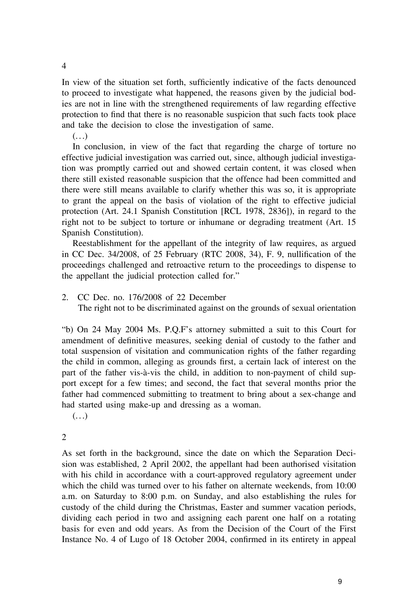In view of the situation set forth, sufficiently indicative of the facts denounced to proceed to investigate what happened, the reasons given by the judicial bodies are not in line with the strengthened requirements of law regarding effective protection to find that there is no reasonable suspicion that such facts took place and take the decision to close the investigation of same.

 $\left( \ldots \right)$ 

In conclusion, in view of the fact that regarding the charge of torture no effective judicial investigation was carried out, since, although judicial investigation was promptly carried out and showed certain content, it was closed when there still existed reasonable suspicion that the offence had been committed and there were still means available to clarify whether this was so, it is appropriate to grant the appeal on the basis of violation of the right to effective judicial protection (Art. 24.1 Spanish Constitution [RCL 1978, 2836]), in regard to the right not to be subject to torture or inhumane or degrading treatment (Art. 15 Spanish Constitution).

Reestablishment for the appellant of the integrity of law requires, as argued in CC Dec. 34/2008, of 25 February (RTC 2008, 34), F. 9, nullification of the proceedings challenged and retroactive return to the proceedings to dispense to the appellant the judicial protection called for."

2. CC Dec. no. 176/2008 of 22 December

The right not to be discriminated against on the grounds of sexual orientation

"b) On 24 May 2004 Ms. P.Q.F's attorney submitted a suit to this Court for amendment of definitive measures, seeking denial of custody to the father and total suspension of visitation and communication rights of the father regarding the child in common, alleging as grounds first, a certain lack of interest on the part of the father vis-à-vis the child, in addition to non-payment of child support except for a few times; and second, the fact that several months prior the father had commenced submitting to treatment to bring about a sex-change and had started using make-up and dressing as a woman.

 $\left( \ldots \right)$ 

2

As set forth in the background, since the date on which the Separation Decision was established, 2 April 2002, the appellant had been authorised visitation with his child in accordance with a court-approved regulatory agreement under which the child was turned over to his father on alternate weekends, from 10:00 a.m. on Saturday to 8:00 p.m. on Sunday, and also establishing the rules for custody of the child during the Christmas, Easter and summer vacation periods, dividing each period in two and assigning each parent one half on a rotating basis for even and odd years. As from the Decision of the Court of the First Instance No. 4 of Lugo of 18 October 2004, confirmed in its entirety in appeal

4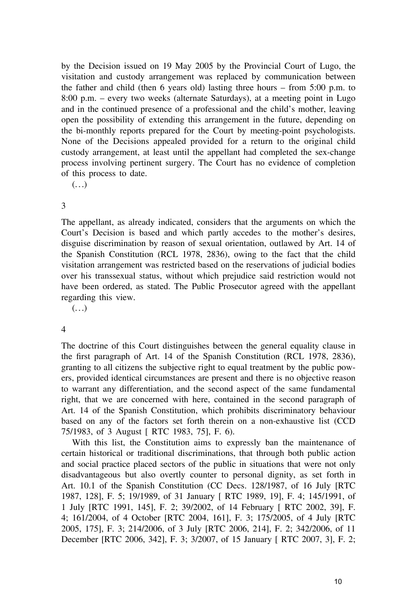by the Decision issued on 19 May 2005 by the Provincial Court of Lugo, the visitation and custody arrangement was replaced by communication between the father and child (then 6 years old) lasting three hours – from 5:00 p.m. to 8:00 p.m. – every two weeks (alternate Saturdays), at a meeting point in Lugo and in the continued presence of a professional and the child's mother, leaving open the possibility of extending this arrangement in the future, depending on the bi-monthly reports prepared for the Court by meeting-point psychologists. None of the Decisions appealed provided for a return to the original child custody arrangement, at least until the appellant had completed the sex-change process involving pertinent surgery. The Court has no evidence of completion of this process to date.

 $( \ldots )$ 

3

The appellant, as already indicated, considers that the arguments on which the Court's Decision is based and which partly accedes to the mother's desires, disguise discrimination by reason of sexual orientation, outlawed by Art. 14 of the Spanish Constitution (RCL 1978, 2836), owing to the fact that the child visitation arrangement was restricted based on the reservations of judicial bodies over his transsexual status, without which prejudice said restriction would not have been ordered, as stated. The Public Prosecutor agreed with the appellant regarding this view.

 $\left( \ldots \right)$ 

4

The doctrine of this Court distinguishes between the general equality clause in the first paragraph of Art. 14 of the Spanish Constitution (RCL 1978, 2836), granting to all citizens the subjective right to equal treatment by the public powers, provided identical circumstances are present and there is no objective reason to warrant any differentiation, and the second aspect of the same fundamental right, that we are concerned with here, contained in the second paragraph of Art. 14 of the Spanish Constitution, which prohibits discriminatory behaviour based on any of the factors set forth therein on a non-exhaustive list (CCD 75/1983, of 3 August [ RTC 1983, 75], F. 6).

With this list, the Constitution aims to expressly ban the maintenance of certain historical or traditional discriminations, that through both public action and social practice placed sectors of the public in situations that were not only disadvantageous but also overtly counter to personal dignity, as set forth in Art. 10.1 of the Spanish Constitution (CC Decs. 128/1987, of 16 July [RTC 1987, 128], F. 5; 19/1989, of 31 January [ RTC 1989, 19], F. 4; 145/1991, of 1 July [RTC 1991, 145], F. 2; 39/2002, of 14 February [ RTC 2002, 39], F. 4; 161/2004, of 4 October [RTC 2004, 161], F. 3; 175/2005, of 4 July [RTC 2005, 175], F. 3; 214/2006, of 3 July [RTC 2006, 214], F. 2; 342/2006, of 11 December [RTC 2006, 342], F. 3; 3/2007, of 15 January [ RTC 2007, 3], F. 2;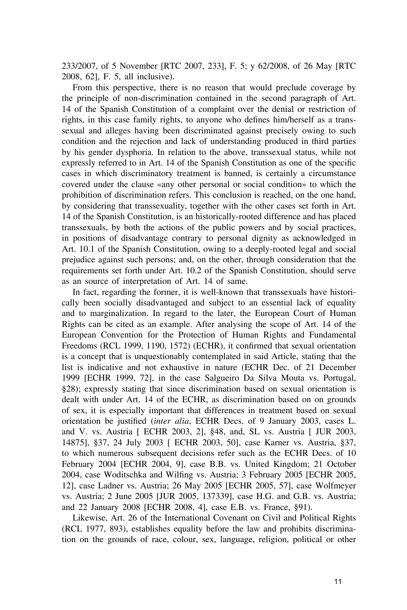233/2007, of 5 November [RTC 2007, 233], F. 5; y 62/2008, of 26 May [RTC 2008, 62], F. 5, all inclusive).

From this perspective, there is no reason that would preclude coverage by the principle of non-discrimination contained in the second paragraph of Art. 14 of the Spanish Constitution of a complaint over the denial or restriction of rights, in this case family rights, to anyone who defines him/herself as a transsexual and alleges having been discriminated against precisely owing to such condition and the rejection and lack of understanding produced in third parties by his gender dysphoria. In relation to the above, transsexual status, while not expressly referred to in Art. 14 of the Spanish Constitution as one of the specific cases in which discriminatory treatment is banned, is certainly a circumstance covered under the clause «any other personal or social condition» to which the prohibition of discrimination refers. This conclusion is reached, on the one hand, by considering that transsexuality, together with the other cases set forth in Art. 14 of the Spanish Constitution, is an historically-rooted difference and has placed transsexuals, by both the actions of the public powers and by social practices, in positions of disadvantage contrary to personal dignity as acknowledged in Art. 10.1 of the Spanish Constitution, owing to a deeply-rooted legal and social prejudice against such persons; and, on the other, through consideration that the requirements set forth under Art. 10.2 of the Spanish Constitution, should serve as an source of interpretation of Art. 14 of same.

In fact, regarding the former, it is well-known that transsexuals have historically been socially disadvantaged and subject to an essential lack of equality and to marginalization. In regard to the later, the European Court of Human Rights can be cited as an example. After analysing the scope of Art. 14 of the European Convention for the Protection of Human Rights and Fundamental Freedoms (RCL 1999, 1190, 1572) (ECHR), it confirmed that sexual orientation is a concept that is unquestionably contemplated in said Article, stating that the list is indicative and not exhaustive in nature (ECHR Dec. of 21 December 1999 [ECHR 1999, 72], in the case Salgueiro Da Silva Mouta vs. Portugal, §28); expressly stating that since discrimination based on sexual orientation is dealt with under Art. 14 of the ECHR, as discrimination based on on grounds of sex, it is especially important that differences in treatment based on sexual orientation be justified (*inter alia*, ECHR Decs. of 9 January 2003, cases L. and V. vs. Austria [ ECHR 2003, 2], §48, and, SL vs. Austria [ JUR 2003, 14875], §37, 24 July 2003 [ ECHR 2003, 50], case Karner vs. Austria, §37, to which numerous subsequent decisions refer such as the ECHR Decs. of 10 February 2004 [ECHR 2004, 9], case B.B. vs. United Kingdom; 21 October 2004, case Woditschka and Wilfing vs. Austria; 3 February 2005 [ECHR 2005, 12], case Ladner vs. Austria; 26 May 2005 [ECHR 2005, 57], case Wolfmeyer vs. Austria; 2 June 2005 [JUR 2005, 137339], case H.G. and G.B. vs. Austria; and 22 January 2008 [ECHR 2008, 4], case E.B. vs. France, §91).

Likewise, Art. 26 of the International Covenant on Civil and Political Rights (RCL 1977, 893), establishes equality before the law and prohibits discrimination on the grounds of race, colour, sex, language, religion, political or other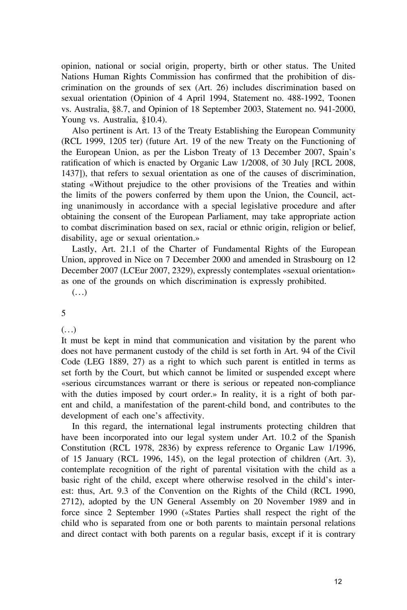opinion, national or social origin, property, birth or other status. The United Nations Human Rights Commission has confirmed that the prohibition of discrimination on the grounds of sex (Art. 26) includes discrimination based on sexual orientation (Opinion of 4 April 1994, Statement no. 488-1992, Toonen vs. Australia, §8.7, and Opinion of 18 September 2003, Statement no. 941-2000, Young vs. Australia, §10.4).

Also pertinent is Art. 13 of the Treaty Establishing the European Community (RCL 1999, 1205 ter) (future Art. 19 of the new Treaty on the Functioning of the European Union, as per the Lisbon Treaty of 13 December 2007, Spain's ratification of which is enacted by Organic Law 1/2008, of 30 July [RCL 2008, 1437]), that refers to sexual orientation as one of the causes of discrimination, stating «Without prejudice to the other provisions of the Treaties and within the limits of the powers conferred by them upon the Union, the Council, acting unanimously in accordance with a special legislative procedure and after obtaining the consent of the European Parliament, may take appropriate action to combat discrimination based on sex, racial or ethnic origin, religion or belief, disability, age or sexual orientation.»

Lastly, Art. 21.1 of the Charter of Fundamental Rights of the European Union, approved in Nice on 7 December 2000 and amended in Strasbourg on 12 December 2007 (LCEur 2007, 2329), expressly contemplates «sexual orientation» as one of the grounds on which discrimination is expressly prohibited.

 $\left( \ldots \right)$ 

#### 5

 $\left( \ldots \right)$ 

It must be kept in mind that communication and visitation by the parent who does not have permanent custody of the child is set forth in Art. 94 of the Civil Code (LEG 1889, 27) as a right to which such parent is entitled in terms as set forth by the Court, but which cannot be limited or suspended except where «serious circumstances warrant or there is serious or repeated non-compliance with the duties imposed by court order.» In reality, it is a right of both parent and child, a manifestation of the parent-child bond, and contributes to the development of each one's affectivity.

In this regard, the international legal instruments protecting children that have been incorporated into our legal system under Art. 10.2 of the Spanish Constitution (RCL 1978, 2836) by express reference to Organic Law 1/1996, of 15 January (RCL 1996, 145), on the legal protection of children (Art. 3), contemplate recognition of the right of parental visitation with the child as a basic right of the child, except where otherwise resolved in the child's interest: thus, Art. 9.3 of the Convention on the Rights of the Child (RCL 1990, 2712), adopted by the UN General Assembly on 20 November 1989 and in force since 2 September 1990 («States Parties shall respect the right of the child who is separated from one or both parents to maintain personal relations and direct contact with both parents on a regular basis, except if it is contrary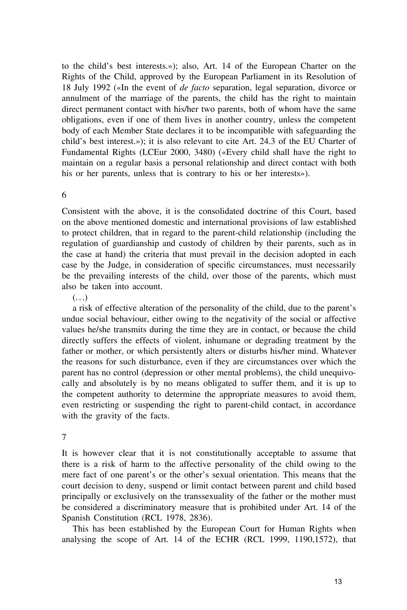to the child's best interests.»); also, Art. 14 of the European Charter on the Rights of the Child, approved by the European Parliament in its Resolution of 18 July 1992 («In the event of *de facto* separation, legal separation, divorce or annulment of the marriage of the parents, the child has the right to maintain direct permanent contact with his/her two parents, both of whom have the same obligations, even if one of them lives in another country, unless the competent body of each Member State declares it to be incompatible with safeguarding the child's best interest.»); it is also relevant to cite Art. 24.3 of the EU Charter of Fundamental Rights (LCEur 2000, 3480) («Every child shall have the right to maintain on a regular basis a personal relationship and direct contact with both his or her parents, unless that is contrary to his or her interests»).

6

Consistent with the above, it is the consolidated doctrine of this Court, based on the above mentioned domestic and international provisions of law established to protect children, that in regard to the parent-child relationship (including the regulation of guardianship and custody of children by their parents, such as in the case at hand) the criteria that must prevail in the decision adopted in each case by the Judge, in consideration of specific circumstances, must necessarily be the prevailing interests of the child, over those of the parents, which must also be taken into account.

 $( \ldots )$ 

a risk of effective alteration of the personality of the child, due to the parent's undue social behaviour, either owing to the negativity of the social or affective values he/she transmits during the time they are in contact, or because the child directly suffers the effects of violent, inhumane or degrading treatment by the father or mother, or which persistently alters or disturbs his/her mind. Whatever the reasons for such disturbance, even if they are circumstances over which the parent has no control (depression or other mental problems), the child unequivocally and absolutely is by no means obligated to suffer them, and it is up to the competent authority to determine the appropriate measures to avoid them, even restricting or suspending the right to parent-child contact, in accordance with the gravity of the facts.

7

It is however clear that it is not constitutionally acceptable to assume that there is a risk of harm to the affective personality of the child owing to the mere fact of one parent's or the other's sexual orientation. This means that the court decision to deny, suspend or limit contact between parent and child based principally or exclusively on the transsexuality of the father or the mother must be considered a discriminatory measure that is prohibited under Art. 14 of the Spanish Constitution (RCL 1978, 2836).

This has been established by the European Court for Human Rights when analysing the scope of Art. 14 of the ECHR (RCL 1999, 1190,1572), that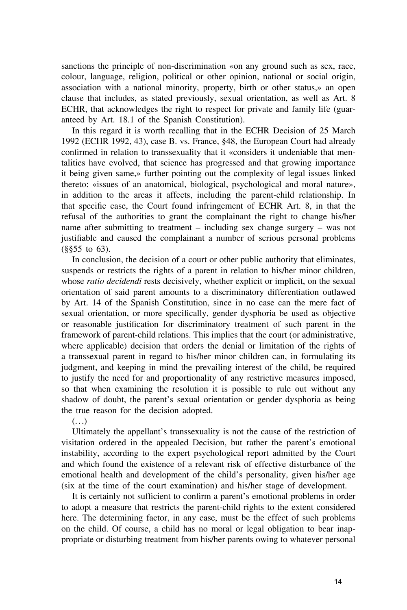sanctions the principle of non-discrimination «on any ground such as sex, race, colour, language, religion, political or other opinion, national or social origin, association with a national minority, property, birth or other status,» an open clause that includes, as stated previously, sexual orientation, as well as Art. 8 ECHR, that acknowledges the right to respect for private and family life (guaranteed by Art. 18.1 of the Spanish Constitution).

In this regard it is worth recalling that in the ECHR Decision of 25 March 1992 (ECHR 1992, 43), case B. vs. France, §48, the European Court had already confirmed in relation to transsexuality that it «considers it undeniable that mentalities have evolved, that science has progressed and that growing importance it being given same,» further pointing out the complexity of legal issues linked thereto: «issues of an anatomical, biological, psychological and moral nature», in addition to the areas it affects, including the parent-child relationship. In that specific case, the Court found infringement of ECHR Art. 8, in that the refusal of the authorities to grant the complainant the right to change his/her name after submitting to treatment – including sex change surgery – was not justifiable and caused the complainant a number of serious personal problems (§§55 to 63).

In conclusion, the decision of a court or other public authority that eliminates, suspends or restricts the rights of a parent in relation to his/her minor children, whose *ratio decidendi* rests decisively, whether explicit or implicit, on the sexual orientation of said parent amounts to a discriminatory differentiation outlawed by Art. 14 of the Spanish Constitution, since in no case can the mere fact of sexual orientation, or more specifically, gender dysphoria be used as objective or reasonable justification for discriminatory treatment of such parent in the framework of parent-child relations. This implies that the court (or administrative, where applicable) decision that orders the denial or limitation of the rights of a transsexual parent in regard to his/her minor children can, in formulating its judgment, and keeping in mind the prevailing interest of the child, be required to justify the need for and proportionality of any restrictive measures imposed, so that when examining the resolution it is possible to rule out without any shadow of doubt, the parent's sexual orientation or gender dysphoria as being the true reason for the decision adopted.

 $\left( \ldots \right)$ 

Ultimately the appellant's transsexuality is not the cause of the restriction of visitation ordered in the appealed Decision, but rather the parent's emotional instability, according to the expert psychological report admitted by the Court and which found the existence of a relevant risk of effective disturbance of the emotional health and development of the child's personality, given his/her age (six at the time of the court examination) and his/her stage of development.

It is certainly not sufficient to confirm a parent's emotional problems in order to adopt a measure that restricts the parent-child rights to the extent considered here. The determining factor, in any case, must be the effect of such problems on the child. Of course, a child has no moral or legal obligation to bear inappropriate or disturbing treatment from his/her parents owing to whatever personal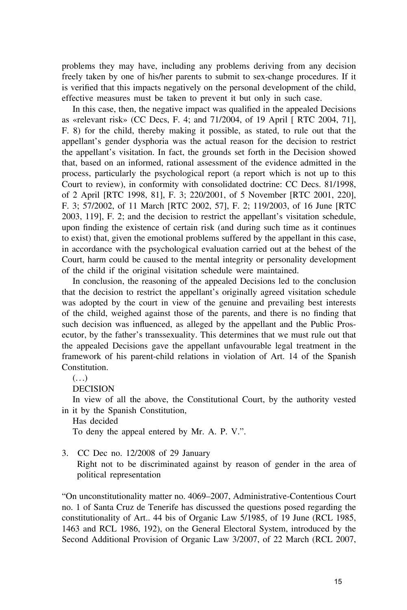problems they may have, including any problems deriving from any decision freely taken by one of his/her parents to submit to sex-change procedures. If it is verified that this impacts negatively on the personal development of the child, effective measures must be taken to prevent it but only in such case.

In this case, then, the negative impact was qualified in the appealed Decisions as «relevant risk» (CC Decs, F. 4; and 71/2004, of 19 April [ RTC 2004, 71], F. 8) for the child, thereby making it possible, as stated, to rule out that the appellant's gender dysphoria was the actual reason for the decision to restrict the appellant's visitation. In fact, the grounds set forth in the Decision showed that, based on an informed, rational assessment of the evidence admitted in the process, particularly the psychological report (a report which is not up to this Court to review), in conformity with consolidated doctrine: CC Decs. 81/1998, of 2 April [RTC 1998, 81], F. 3; 220/2001, of 5 November [RTC 2001, 220], F. 3; 57/2002, of 11 March [RTC 2002, 57], F. 2; 119/2003, of 16 June [RTC 2003, 119], F. 2; and the decision to restrict the appellant's visitation schedule, upon finding the existence of certain risk (and during such time as it continues to exist) that, given the emotional problems suffered by the appellant in this case, in accordance with the psychological evaluation carried out at the behest of the Court, harm could be caused to the mental integrity or personality development of the child if the original visitation schedule were maintained.

In conclusion, the reasoning of the appealed Decisions led to the conclusion that the decision to restrict the appellant's originally agreed visitation schedule was adopted by the court in view of the genuine and prevailing best interests of the child, weighed against those of the parents, and there is no finding that such decision was influenced, as alleged by the appellant and the Public Prosecutor, by the father's transsexuality. This determines that we must rule out that the appealed Decisions gave the appellant unfavourable legal treatment in the framework of his parent-child relations in violation of Art. 14 of the Spanish Constitution.

 $( \ldots )$ 

DECISION

In view of all the above, the Constitutional Court, by the authority vested in it by the Spanish Constitution,

Has decided

To deny the appeal entered by Mr. A. P. V.".

3. CC Dec no. 12/2008 of 29 January Right not to be discriminated against by reason of gender in the area of political representation

"On unconstitutionality matter no. 4069–2007, Administrative-Contentious Court no. 1 of Santa Cruz de Tenerife has discussed the questions posed regarding the constitutionality of Art.. 44 bis of Organic Law 5/1985, of 19 June (RCL 1985, 1463 and RCL 1986, 192), on the General Electoral System, introduced by the Second Additional Provision of Organic Law 3/2007, of 22 March (RCL 2007,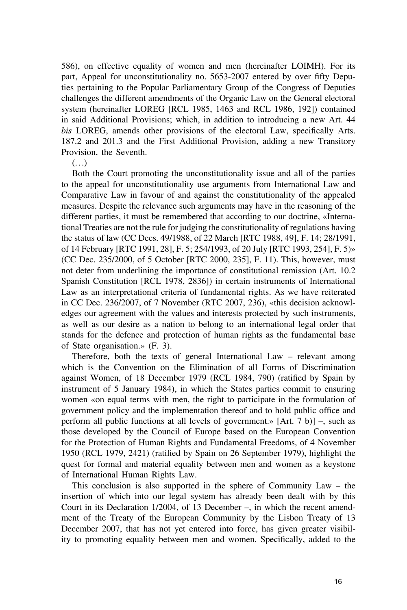586), on effective equality of women and men (hereinafter LOIMH). For its part, Appeal for unconstitutionality no. 5653-2007 entered by over fifty Deputies pertaining to the Popular Parliamentary Group of the Congress of Deputies challenges the different amendments of the Organic Law on the General electoral system (hereinafter LOREG [RCL 1985, 1463 and RCL 1986, 192]) contained in said Additional Provisions; which, in addition to introducing a new Art. 44 *bis* LOREG, amends other provisions of the electoral Law, specifically Arts. 187.2 and 201.3 and the First Additional Provision, adding a new Transitory Provision, the Seventh.

 $\left( \ldots \right)$ 

Both the Court promoting the unconstitutionality issue and all of the parties to the appeal for unconstitutionality use arguments from International Law and Comparative Law in favour of and against the constitutionality of the appealed measures. Despite the relevance such arguments may have in the reasoning of the different parties, it must be remembered that according to our doctrine, «International Treaties are not the rule for judging the constitutionality of regulations having the status of law (CC Decs. 49/1988, of 22 March [RTC 1988, 49], F. 14; 28/1991, of 14 February [RTC 1991, 28], F. 5; 254/1993, of 20 July [RTC 1993, 254], F. 5)» (CC Dec. 235/2000, of 5 October [RTC 2000, 235], F. 11). This, however, must not deter from underlining the importance of constitutional remission (Art. 10.2 Spanish Constitution [RCL 1978, 2836]) in certain instruments of International Law as an interpretational criteria of fundamental rights. As we have reiterated in CC Dec. 236/2007, of 7 November (RTC 2007, 236), «this decision acknowledges our agreement with the values and interests protected by such instruments, as well as our desire as a nation to belong to an international legal order that stands for the defence and protection of human rights as the fundamental base of State organisation.» (F. 3).

Therefore, both the texts of general International Law – relevant among which is the Convention on the Elimination of all Forms of Discrimination against Women, of 18 December 1979 (RCL 1984, 790) (ratified by Spain by instrument of 5 January 1984), in which the States parties commit to ensuring women «on equal terms with men, the right to participate in the formulation of government policy and the implementation thereof and to hold public office and perform all public functions at all levels of government.» [Art. 7 b)] –, such as those developed by the Council of Europe based on the European Convention for the Protection of Human Rights and Fundamental Freedoms, of 4 November 1950 (RCL 1979, 2421) (ratified by Spain on 26 September 1979), highlight the quest for formal and material equality between men and women as a keystone of International Human Rights Law.

This conclusion is also supported in the sphere of Community Law – the insertion of which into our legal system has already been dealt with by this Court in its Declaration 1/2004, of 13 December –, in which the recent amendment of the Treaty of the European Community by the Lisbon Treaty of 13 December 2007, that has not yet entered into force, has given greater visibility to promoting equality between men and women. Specifically, added to the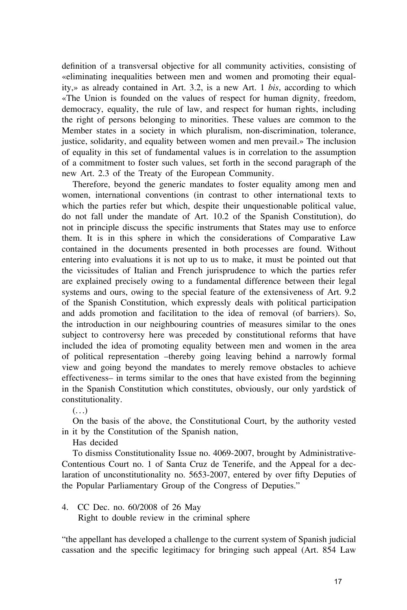definition of a transversal objective for all community activities, consisting of «eliminating inequalities between men and women and promoting their equality,» as already contained in Art. 3.2, is a new Art. 1 *bis*, according to which «The Union is founded on the values of respect for human dignity, freedom, democracy, equality, the rule of law, and respect for human rights, including the right of persons belonging to minorities. These values are common to the Member states in a society in which pluralism, non-discrimination, tolerance, justice, solidarity, and equality between women and men prevail.» The inclusion of equality in this set of fundamental values is in correlation to the assumption of a commitment to foster such values, set forth in the second paragraph of the new Art. 2.3 of the Treaty of the European Community.

Therefore, beyond the generic mandates to foster equality among men and women, international conventions (in contrast to other international texts to which the parties refer but which, despite their unquestionable political value, do not fall under the mandate of Art. 10.2 of the Spanish Constitution), do not in principle discuss the specific instruments that States may use to enforce them. It is in this sphere in which the considerations of Comparative Law contained in the documents presented in both processes are found. Without entering into evaluations it is not up to us to make, it must be pointed out that the vicissitudes of Italian and French jurisprudence to which the parties refer are explained precisely owing to a fundamental difference between their legal systems and ours, owing to the special feature of the extensiveness of Art. 9.2 of the Spanish Constitution, which expressly deals with political participation and adds promotion and facilitation to the idea of removal (of barriers). So, the introduction in our neighbouring countries of measures similar to the ones subject to controversy here was preceded by constitutional reforms that have included the idea of promoting equality between men and women in the area of political representation –thereby going leaving behind a narrowly formal view and going beyond the mandates to merely remove obstacles to achieve effectiveness– in terms similar to the ones that have existed from the beginning in the Spanish Constitution which constitutes, obviously, our only yardstick of constitutionality.

 $\left( \ldots \right)$ 

On the basis of the above, the Constitutional Court, by the authority vested in it by the Constitution of the Spanish nation,

Has decided

To dismiss Constitutionality Issue no. 4069-2007, brought by Administrative-Contentious Court no. 1 of Santa Cruz de Tenerife, and the Appeal for a declaration of unconstitutionality no. 5653-2007, entered by over fifty Deputies of the Popular Parliamentary Group of the Congress of Deputies."

#### 4. CC Dec. no. 60/2008 of 26 May

Right to double review in the criminal sphere

"the appellant has developed a challenge to the current system of Spanish judicial cassation and the specific legitimacy for bringing such appeal (Art. 854 Law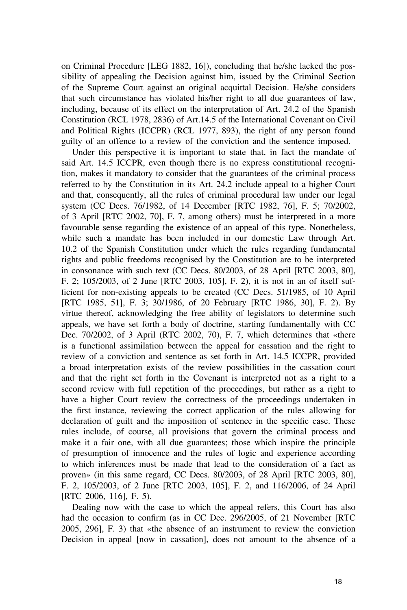on Criminal Procedure [LEG 1882, 16]), concluding that he/she lacked the possibility of appealing the Decision against him, issued by the Criminal Section of the Supreme Court against an original acquittal Decision. He/she considers that such circumstance has violated his/her right to all due guarantees of law, including, because of its effect on the interpretation of Art. 24.2 of the Spanish Constitution (RCL 1978, 2836) of Art.14.5 of the International Covenant on Civil and Political Rights (ICCPR) (RCL 1977, 893), the right of any person found guilty of an offence to a review of the conviction and the sentence imposed.

Under this perspective it is important to state that, in fact the mandate of said Art. 14.5 ICCPR, even though there is no express constitutional recognition, makes it mandatory to consider that the guarantees of the criminal process referred to by the Constitution in its Art. 24.2 include appeal to a higher Court and that, consequently, all the rules of criminal procedural law under our legal system (CC Decs. 76/1982, of 14 December [RTC 1982, 76], F. 5; 70/2002, of 3 April [RTC 2002, 70], F. 7, among others) must be interpreted in a more favourable sense regarding the existence of an appeal of this type. Nonetheless, while such a mandate has been included in our domestic Law through Art. 10.2 of the Spanish Constitution under which the rules regarding fundamental rights and public freedoms recognised by the Constitution are to be interpreted in consonance with such text (CC Decs. 80/2003, of 28 April [RTC 2003, 80], F. 2; 105/2003, of 2 June [RTC 2003, 105], F. 2), it is not in an of itself sufficient for non-existing appeals to be created (CC Decs. 51/1985, of 10 April [RTC 1985, 51], F. 3; 30/1986, of 20 February [RTC 1986, 30], F. 2). By virtue thereof, acknowledging the free ability of legislators to determine such appeals, we have set forth a body of doctrine, starting fundamentally with CC Dec. 70/2002, of 3 April (RTC 2002, 70), F. 7, which determines that «there is a functional assimilation between the appeal for cassation and the right to review of a conviction and sentence as set forth in Art. 14.5 ICCPR, provided a broad interpretation exists of the review possibilities in the cassation court and that the right set forth in the Covenant is interpreted not as a right to a second review with full repetition of the proceedings, but rather as a right to have a higher Court review the correctness of the proceedings undertaken in the first instance, reviewing the correct application of the rules allowing for declaration of guilt and the imposition of sentence in the specific case. These rules include, of course, all provisions that govern the criminal process and make it a fair one, with all due guarantees; those which inspire the principle of presumption of innocence and the rules of logic and experience according to which inferences must be made that lead to the consideration of a fact as proven» (in this same regard, CC Decs. 80/2003, of 28 April [RTC 2003, 80], F. 2, 105/2003, of 2 June [RTC 2003, 105], F. 2, and 116/2006, of 24 April [RTC 2006, 116], F. 5).

Dealing now with the case to which the appeal refers, this Court has also had the occasion to confirm (as in CC Dec. 296/2005, of 21 November [RTC 2005, 296], F. 3) that «the absence of an instrument to review the conviction Decision in appeal [now in cassation], does not amount to the absence of a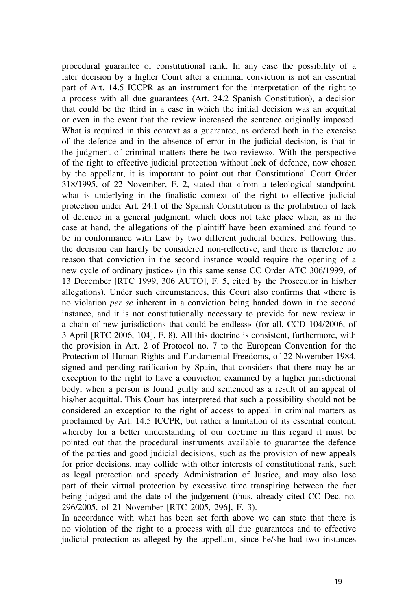procedural guarantee of constitutional rank. In any case the possibility of a later decision by a higher Court after a criminal conviction is not an essential part of Art. 14.5 ICCPR as an instrument for the interpretation of the right to a process with all due guarantees (Art. 24.2 Spanish Constitution), a decision that could be the third in a case in which the initial decision was an acquittal or even in the event that the review increased the sentence originally imposed. What is required in this context as a guarantee, as ordered both in the exercise of the defence and in the absence of error in the judicial decision, is that in the judgment of criminal matters there be two reviews». With the perspective of the right to effective judicial protection without lack of defence, now chosen by the appellant, it is important to point out that Constitutional Court Order 318/1995, of 22 November, F. 2, stated that «from a teleological standpoint, what is underlying in the finalistic context of the right to effective judicial protection under Art. 24.1 of the Spanish Constitution is the prohibition of lack of defence in a general judgment, which does not take place when, as in the case at hand, the allegations of the plaintiff have been examined and found to be in conformance with Law by two different judicial bodies. Following this, the decision can hardly be considered non-reflective, and there is therefore no reason that conviction in the second instance would require the opening of a new cycle of ordinary justice» (in this same sense CC Order ATC 306/1999, of 13 December [RTC 1999, 306 AUTO], F. 5, cited by the Prosecutor in his/her allegations). Under such circumstances, this Court also confirms that «there is no violation *per se* inherent in a conviction being handed down in the second instance, and it is not constitutionally necessary to provide for new review in a chain of new jurisdictions that could be endless» (for all, CCD 104/2006, of 3 April [RTC 2006, 104], F. 8). All this doctrine is consistent, furthermore, with the provision in Art. 2 of Protocol no. 7 to the European Convention for the Protection of Human Rights and Fundamental Freedoms, of 22 November 1984, signed and pending ratification by Spain, that considers that there may be an exception to the right to have a conviction examined by a higher jurisdictional body, when a person is found guilty and sentenced as a result of an appeal of his/her acquittal. This Court has interpreted that such a possibility should not be considered an exception to the right of access to appeal in criminal matters as proclaimed by Art. 14.5 ICCPR, but rather a limitation of its essential content, whereby for a better understanding of our doctrine in this regard it must be pointed out that the procedural instruments available to guarantee the defence of the parties and good judicial decisions, such as the provision of new appeals for prior decisions, may collide with other interests of constitutional rank, such as legal protection and speedy Administration of Justice, and may also lose part of their virtual protection by excessive time transpiring between the fact being judged and the date of the judgement (thus, already cited CC Dec. no. 296/2005, of 21 November [RTC 2005, 296], F. 3).

In accordance with what has been set forth above we can state that there is no violation of the right to a process with all due guarantees and to effective judicial protection as alleged by the appellant, since he/she had two instances